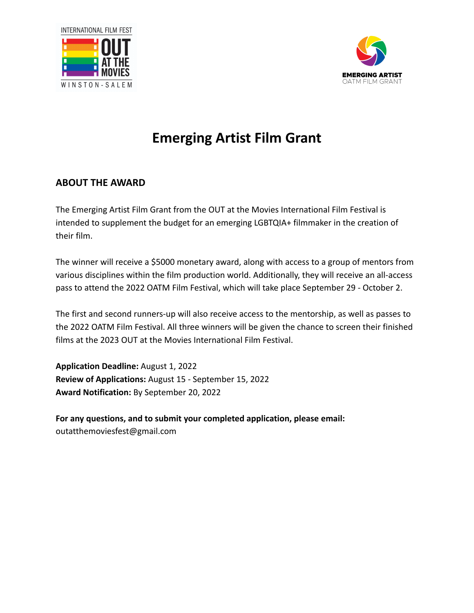



# **Emerging Artist Film Grant**

# **ABOUT THE AWARD**

The Emerging Artist Film Grant from the OUT at the Movies International Film Festival is intended to supplement the budget for an emerging LGBTQIA+ filmmaker in the creation of their film.

The winner will receive a \$5000 monetary award, along with access to a group of mentors from various disciplines within the film production world. Additionally, they will receive an all-access pass to attend the 2022 OATM Film Festival, which will take place September 29 - October 2.

The first and second runners-up will also receive access to the mentorship, as well as passes to the 2022 OATM Film Festival. All three winners will be given the chance to screen their finished films at the 2023 OUT at the Movies International Film Festival.

**Application Deadline:** August 1, 2022 **Review of Applications:** August 15 - September 15, 2022 **Award Notification:** By September 20, 2022

**For any questions, and to submit your completed application, please email:** outatthemoviesfest@gmail.com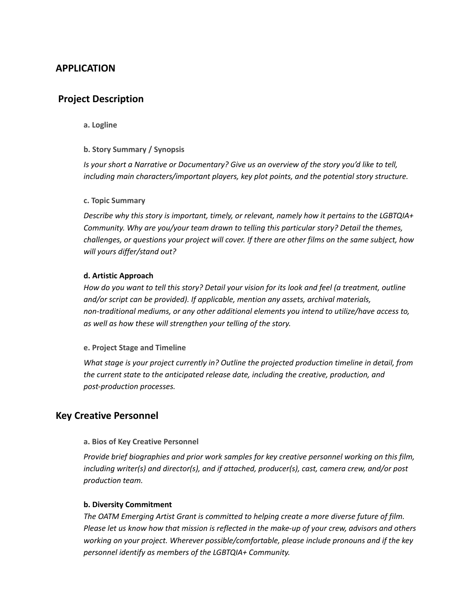## **APPLICATION**

## **Project Description**

## **a. Logline**

## **b. Story Summary / Synopsis**

*Is your short a Narrative or Documentary? Give us an overview of the story you'd like to tell, including main characters/important players, key plot points, and the potential story structure.*

## **c. Topic Summary**

*Describe why this story is important, timely, or relevant, namely how it pertains to the LGBTQIA+ Community. Why are you/your team drawn to telling this particular story? Detail the themes, challenges, or questions your project will cover. If there are other films on the same subject, how will yours differ/stand out?*

## **d. Artistic Approach**

How do you want to tell this story? Detail your vision for its look and feel (a treatment, outline *and/or script can be provided). If applicable, mention any assets, archival materials, non-traditional mediums, or any other additional elements you intend to utilize/have access to, as well as how these will strengthen your telling of the story.*

## **e. Project Stage and Timeline**

*What stage is your project currently in? Outline the projected production timeline in detail, from the current state to the anticipated release date, including the creative, production, and post-production processes.*

## **Key Creative Personnel**

## **a. Bios of Key Creative Personnel**

*Provide brief biographies and prior work samples for key creative personnel working on this film, including writer(s) and director(s), and if attached, producer(s), cast, camera crew, and/or post production team.*

## **b. Diversity Commitment**

*The OATM Emerging Artist Grant is committed to helping create a more diverse future of film. Please let us know how that mission is reflected in the make-up of your crew, advisors and others working on your project. Wherever possible/comfortable, please include pronouns and if the key personnel identify as members of the LGBTQIA+ Community.*